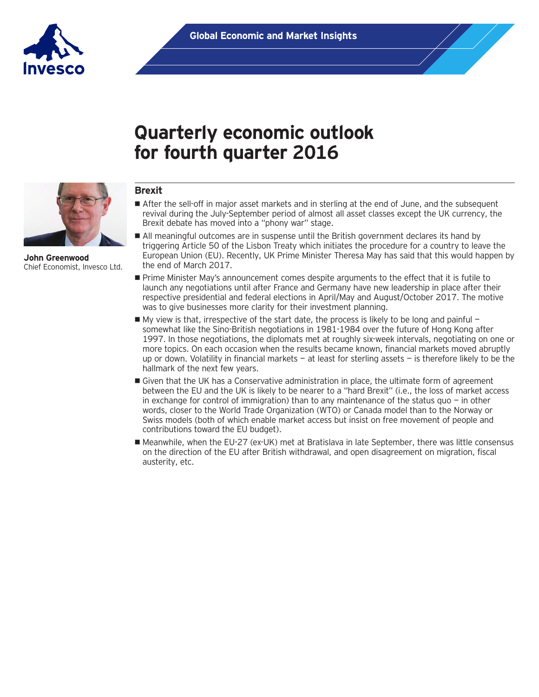

# **Quarterly economic outlook for fourth quarter 2016**



**John Greenwood** Chief Economist, Invesco Ltd.

## **Brexit**

- **If** After the sell-off in major asset markets and in sterling at the end of June, and the subsequent revival during the July-September period of almost all asset classes except the UK currency, the Brexit debate has moved into a "phony war" stage.
- All meaningful outcomes are in suspense until the British government declares its hand by triggering Article 50 of the Lisbon Treaty which initiates the procedure for a country to leave the European Union (EU). Recently, UK Prime Minister Theresa May has said that this would happen by the end of March 2017.
- **Prime Minister May's announcement comes despite arguments to the effect that it is futile to** launch any negotiations until after France and Germany have new leadership in place after their respective presidential and federal elections in April/May and August/October 2017. The motive was to give businesses more clarity for their investment planning.
- $\blacksquare$  My view is that, irrespective of the start date, the process is likely to be long and painful somewhat like the Sino-British negotiations in 1981-1984 over the future of Hong Kong after 1997. In those negotiations, the diplomats met at roughly six-week intervals, negotiating on one or more topics. On each occasion when the results became known, financial markets moved abruptly up or down. Volatility in financial markets — at least for sterling assets — is therefore likely to be the hallmark of the next few years.
- Given that the UK has a Conservative administration in place, the ultimate form of agreement between the EU and the UK is likely to be nearer to a "hard Brexit" (i.e., the loss of market access in exchange for control of immigration) than to any maintenance of the status quo  $-$  in other words, closer to the World Trade Organization (WTO) or Canada model than to the Norway or Swiss models (both of which enable market access but insist on free movement of people and contributions toward the EU budget).
- Meanwhile, when the EU-27 (ex-UK) met at Bratislava in late September, there was little consensus on the direction of the EU after British withdrawal, and open disagreement on migration, fiscal austerity, etc.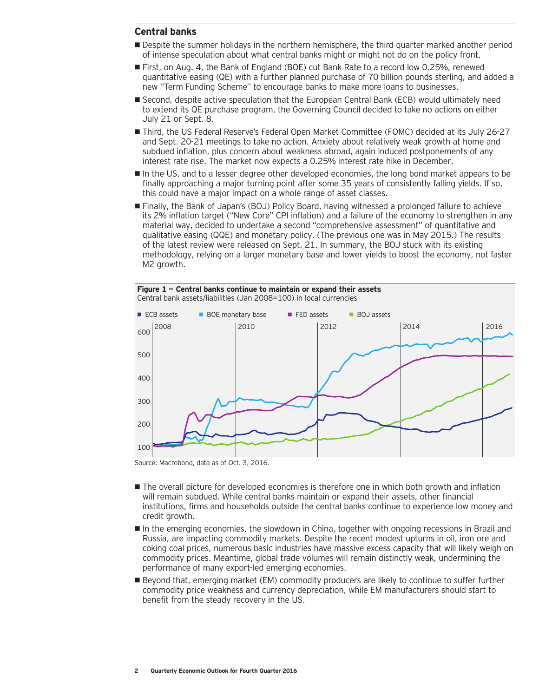### **Central banks**

- **Despite the summer holidays in the northern hemisphere, the third quarter marked another period** of intense speculation about what central banks might or might not do on the policy front.
- First, on Aug. 4, the Bank of England (BOE) cut Bank Rate to a record low 0.25%, renewed quantitative easing (QE) with a further planned purchase of 70 billion pounds sterling, and added a new "Term Funding Scheme" to encourage banks to make more loans to businesses.
- Second, despite active speculation that the European Central Bank (ECB) would ultimately need to extend its QE purchase program, the Governing Council decided to take no actions on either July 21 or Sept. 8.
- Third, the US Federal Reserve's Federal Open Market Committee (FOMC) decided at its July 26-27 and Sept. 20-21 meetings to take no action. Anxiety about relatively weak growth at home and subdued inflation, plus concern about weakness abroad, again induced postponements of any interest rate rise. The market now expects a 0.25% interest rate hike in December.
- In the US, and to a lesser degree other developed economies, the long bond market appears to be finally approaching a major turning point after some 35 years of consistently falling yields. If so, this could have a major impact on a whole range of asset classes.
- Finally, the Bank of Japan's (BOJ) Policy Board, having witnessed a prolonged failure to achieve its 2% inflation target ("New Core" CPI inflation) and a failure of the economy to strengthen in any material way, decided to undertake a second "comprehensive assessment" of quantitative and qualitative easing (QQE) and monetary policy. (The previous one was in May 2015.) The results of the latest review were released on Sept. 21. In summary, the BOJ stuck with its existing methodology, relying on a larger monetary base and lower yields to boost the economy, not faster M<sub>2</sub> growth.

**Figure 1 — Central banks continue to maintain or expand their assets**



Source: Macrobond, data as of Oct. 3, 2016.

- The overall picture for developed economies is therefore one in which both growth and inflation will remain subdued. While central banks maintain or expand their assets, other financial institutions, firms and households outside the central banks continue to experience low money and credit growth.
- In the emerging economies, the slowdown in China, together with ongoing recessions in Brazil and Russia, are impacting commodity markets. Despite the recent modest upturns in oil, iron ore and coking coal prices, numerous basic industries have massive excess capacity that will likely weigh on commodity prices. Meantime, global trade volumes will remain distinctly weak, undermining the performance of many export-led emerging economies.
- Beyond that, emerging market (EM) commodity producers are likely to continue to suffer further commodity price weakness and currency depreciation, while EM manufacturers should start to benefit from the steady recovery in the US.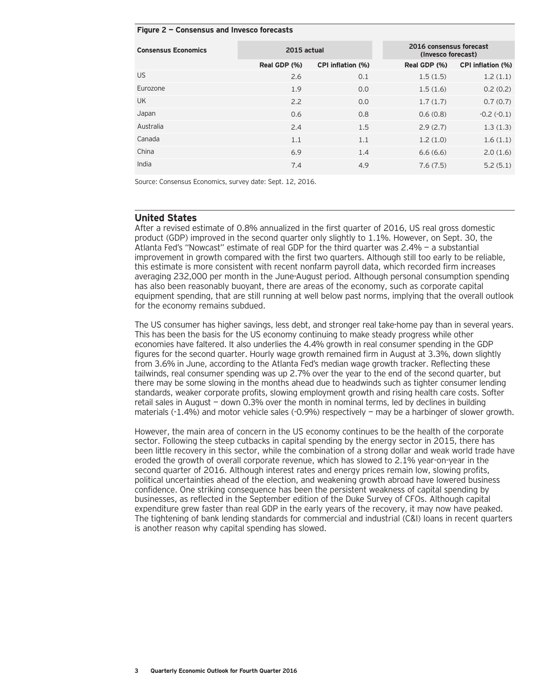#### **Figure 2 — Consensus and Invesco forecasts**

| <b>Consensus Economics</b> | 2015 actual  |                   | 2016 consensus forecast<br>(Invesco forecast) |                   |
|----------------------------|--------------|-------------------|-----------------------------------------------|-------------------|
|                            | Real GDP (%) | CPI inflation (%) | Real GDP (%)                                  | CPI inflation (%) |
| <b>US</b>                  | 2.6          | 0.1               | 1.5(1.5)                                      | 1.2(1.1)          |
| Eurozone                   | 1.9          | 0.0               | 1.5(1.6)                                      | 0.2(0.2)          |
| <b>UK</b>                  | 2.2          | 0.0               | 1.7(1.7)                                      | 0.7(0.7)          |
| Japan                      | 0.6          | 0.8               | 0.6(0.8)                                      | $-0.2(-0.1)$      |
| Australia                  | 2.4          | 1.5               | 2.9(2.7)                                      | 1.3(1.3)          |
| Canada                     | 1.1          | 1.1               | 1.2(1.0)                                      | 1.6(1.1)          |
| China                      | 6.9          | 1.4               | 6.6(6.6)                                      | 2.0(1.6)          |
| India                      | 7.4          | 4.9               | 7.6(7.5)                                      | 5.2(5.1)          |

Source: Consensus Economics, survey date: Sept. 12, 2016.

#### **United States**

After a revised estimate of 0.8% annualized in the first quarter of 2016, US real gross domestic product (GDP) improved in the second quarter only slightly to 1.1%. However, on Sept. 30, the Atlanta Fed's "Nowcast" estimate of real GDP for the third quarter was 2.4% — a substantial improvement in growth compared with the first two quarters. Although still too early to be reliable, this estimate is more consistent with recent nonfarm payroll data, which recorded firm increases averaging 232,000 per month in the June-August period. Although personal consumption spending has also been reasonably buoyant, there are areas of the economy, such as corporate capital equipment spending, that are still running at well below past norms, implying that the overall outlook for the economy remains subdued.

The US consumer has higher savings, less debt, and stronger real take-home pay than in several years. This has been the basis for the US economy continuing to make steady progress while other economies have faltered. It also underlies the 4.4% growth in real consumer spending in the GDP figures for the second quarter. Hourly wage growth remained firm in August at 3.3%, down slightly from 3.6% in June, according to the Atlanta Fed's median wage growth tracker. Reflecting these tailwinds, real consumer spending was up 2.7% over the year to the end of the second quarter, but there may be some slowing in the months ahead due to headwinds such as tighter consumer lending standards, weaker corporate profits, slowing employment growth and rising health care costs. Softer retail sales in August — down 0.3% over the month in nominal terms, led by declines in building materials (-1.4%) and motor vehicle sales (-0.9%) respectively - may be a harbinger of slower growth.

However, the main area of concern in the US economy continues to be the health of the corporate sector. Following the steep cutbacks in capital spending by the energy sector in 2015, there has been little recovery in this sector, while the combination of a strong dollar and weak world trade have eroded the growth of overall corporate revenue, which has slowed to 2.1% year-on-year in the second quarter of 2016. Although interest rates and energy prices remain low, slowing profits, political uncertainties ahead of the election, and weakening growth abroad have lowered business confidence. One striking consequence has been the persistent weakness of capital spending by businesses, as reflected in the September edition of the Duke Survey of CFOs. Although capital expenditure grew faster than real GDP in the early years of the recovery, it may now have peaked. The tightening of bank lending standards for commercial and industrial (C&I) loans in recent quarters is another reason why capital spending has slowed.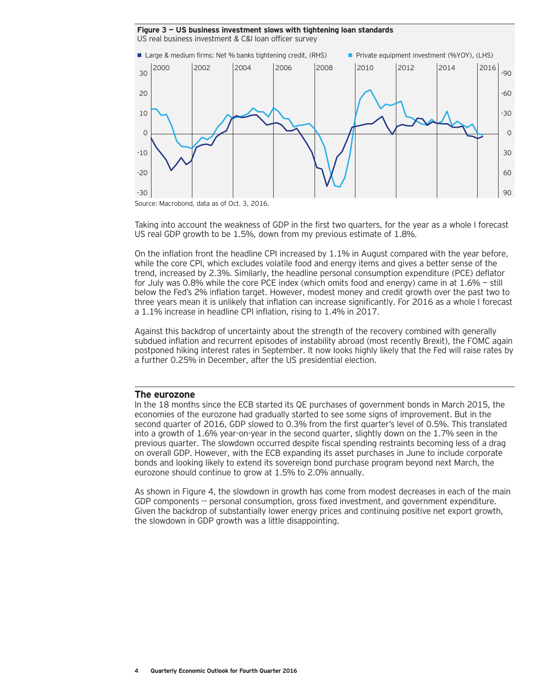**Figure 3 — US business investment slows with tightening loan standards** US real business investment & C&I loan officer survey



Source: Macrobond, data as of Oct. 3, 2016.

Taking into account the weakness of GDP in the first two quarters, for the year as a whole I forecast US real GDP growth to be 1.5%, down from my previous estimate of 1.8%.

On the inflation front the headline CPI increased by 1.1% in August compared with the year before, while the core CPI, which excludes volatile food and energy items and gives a better sense of the trend, increased by 2.3%. Similarly, the headline personal consumption expenditure (PCE) deflator for July was 0.8% while the core PCE index (which omits food and energy) came in at 1.6% — still below the Fed's 2% inflation target. However, modest money and credit growth over the past two to three years mean it is unlikely that inflation can increase significantly. For 2016 as a whole I forecast a 1.1% increase in headline CPI inflation, rising to 1.4% in 2017.

Against this backdrop of uncertainty about the strength of the recovery combined with generally subdued inflation and recurrent episodes of instability abroad (most recently Brexit), the FOMC again postponed hiking interest rates in September. It now looks highly likely that the Fed will raise rates by a further 0.25% in December, after the US presidential election.

#### **The eurozone**

In the 18 months since the ECB started its QE purchases of government bonds in March 2015, the economies of the eurozone had gradually started to see some signs of improvement. But in the second quarter of 2016, GDP slowed to 0.3% from the first quarter's level of 0.5%. This translated into a growth of 1.6% year-on-year in the second quarter, slightly down on the 1.7% seen in the previous quarter. The slowdown occurred despite fiscal spending restraints becoming less of a drag on overall GDP. However, with the ECB expanding its asset purchases in June to include corporate bonds and looking likely to extend its sovereign bond purchase program beyond next March, the eurozone should continue to grow at 1.5% to 2.0% annually.

As shown in Figure 4, the slowdown in growth has come from modest decreases in each of the main GDP components -- personal consumption, gross fixed investment, and government expenditure. Given the backdrop of substantially lower energy prices and continuing positive net export growth, the slowdown in GDP growth was a little disappointing.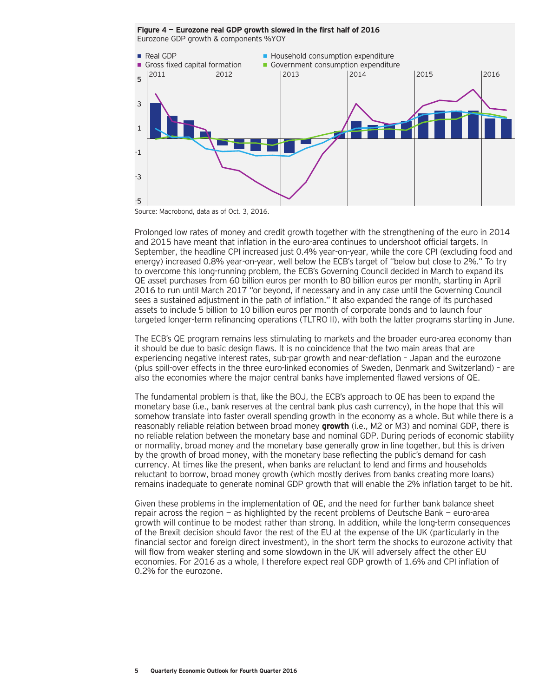**Figure 4 — Eurozone real GDP growth slowed in the first half of 2016** Eurozone GDP growth & components %YOY



Source: Macrobond, data as of Oct. 3, 2016.

Prolonged low rates of money and credit growth together with the strengthening of the euro in 2014 and 2015 have meant that inflation in the euro-area continues to undershoot official targets. In September, the headline CPI increased just 0.4% year-on-year, while the core CPI (excluding food and energy) increased 0.8% year-on-year, well below the ECB's target of "below but close to 2%." To try to overcome this long-running problem, the ECB's Governing Council decided in March to expand its QE asset purchases from 60 billion euros per month to 80 billion euros per month, starting in April 2016 to run until March 2017 "or beyond, if necessary and in any case until the Governing Council sees a sustained adjustment in the path of inflation." It also expanded the range of its purchased assets to include 5 billion to 10 billion euros per month of corporate bonds and to launch four targeted longer-term refinancing operations (TLTRO II), with both the latter programs starting in June.

The ECB's QE program remains less stimulating to markets and the broader euro-area economy than it should be due to basic design flaws. It is no coincidence that the two main areas that are experiencing negative interest rates, sub-par growth and near-deflation – Japan and the eurozone (plus spill-over effects in the three euro-linked economies of Sweden, Denmark and Switzerland) – are also the economies where the major central banks have implemented flawed versions of QE.

The fundamental problem is that, like the BOJ, the ECB's approach to QE has been to expand the monetary base (i.e., bank reserves at the central bank plus cash currency), in the hope that this will somehow translate into faster overall spending growth in the economy as a whole. But while there is a reasonably reliable relation between broad money **growth** (i.e., M2 or M3) and nominal GDP, there is no reliable relation between the monetary base and nominal GDP. During periods of economic stability or normality, broad money and the monetary base generally grow in line together, but this is driven by the growth of broad money, with the monetary base reflecting the public's demand for cash currency. At times like the present, when banks are reluctant to lend and firms and households reluctant to borrow, broad money growth (which mostly derives from banks creating more loans) remains inadequate to generate nominal GDP growth that will enable the 2% inflation target to be hit.

Given these problems in the implementation of QE, and the need for further bank balance sheet repair across the region — as highlighted by the recent problems of Deutsche Bank — euro-area growth will continue to be modest rather than strong. In addition, while the long-term consequences of the Brexit decision should favor the rest of the EU at the expense of the UK (particularly in the financial sector and foreign direct investment), in the short term the shocks to eurozone activity that will flow from weaker sterling and some slowdown in the UK will adversely affect the other EU economies. For 2016 as a whole, I therefore expect real GDP growth of 1.6% and CPI inflation of 0.2% for the eurozone.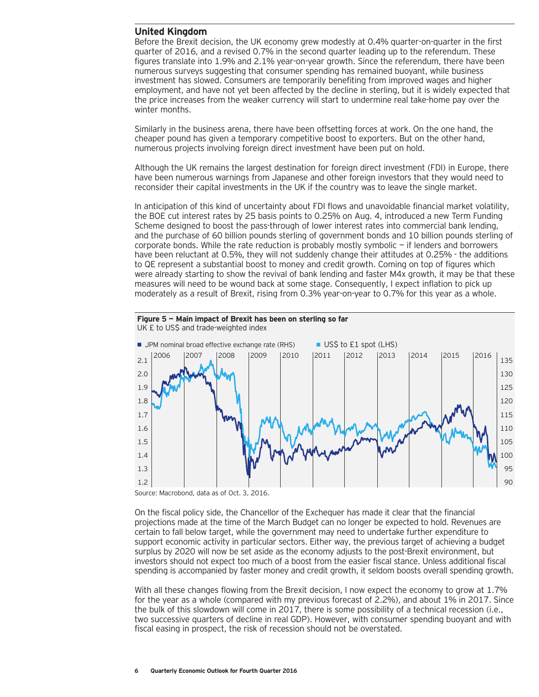## **United Kingdom**

Before the Brexit decision, the UK economy grew modestly at 0.4% quarter-on-quarter in the first quarter of 2016, and a revised 0.7% in the second quarter leading up to the referendum. These figures translate into 1.9% and 2.1% year-on-year growth. Since the referendum, there have been numerous surveys suggesting that consumer spending has remained buoyant, while business investment has slowed. Consumers are temporarily benefiting from improved wages and higher employment, and have not yet been affected by the decline in sterling, but it is widely expected that the price increases from the weaker currency will start to undermine real take-home pay over the winter months.

Similarly in the business arena, there have been offsetting forces at work. On the one hand, the cheaper pound has given a temporary competitive boost to exporters. But on the other hand, numerous projects involving foreign direct investment have been put on hold.

Although the UK remains the largest destination for foreign direct investment (FDI) in Europe, there have been numerous warnings from Japanese and other foreign investors that they would need to reconsider their capital investments in the UK if the country was to leave the single market.

In anticipation of this kind of uncertainty about FDI flows and unavoidable financial market volatility, the BOE cut interest rates by 25 basis points to 0.25% on Aug. 4, introduced a new Term Funding Scheme designed to boost the pass-through of lower interest rates into commercial bank lending, and the purchase of 60 billion pounds sterling of government bonds and 10 billion pounds sterling of corporate bonds. While the rate reduction is probably mostly symbolic — if lenders and borrowers have been reluctant at 0.5%, they will not suddenly change their attitudes at 0.25% - the additions to QE represent a substantial boost to money and credit growth. Coming on top of figures which were already starting to show the revival of bank lending and faster M4x growth, it may be that these measures will need to be wound back at some stage. Consequently, I expect inflation to pick up moderately as a result of Brexit, rising from 0.3% year-on-year to 0.7% for this year as a whole.



Source: Macrobond, data as of Oct. 3, 2016.

On the fiscal policy side, the Chancellor of the Exchequer has made it clear that the financial projections made at the time of the March Budget can no longer be expected to hold. Revenues are certain to fall below target, while the government may need to undertake further expenditure to support economic activity in particular sectors. Either way, the previous target of achieving a budget surplus by 2020 will now be set aside as the economy adjusts to the post-Brexit environment, but investors should not expect too much of a boost from the easier fiscal stance. Unless additional fiscal spending is accompanied by faster money and credit growth, it seldom boosts overall spending growth.

With all these changes flowing from the Brexit decision, I now expect the economy to grow at 1.7% for the year as a whole (compared with my previous forecast of 2.2%), and about 1% in 2017. Since the bulk of this slowdown will come in 2017, there is some possibility of a technical recession (i.e., two successive quarters of decline in real GDP). However, with consumer spending buoyant and with fiscal easing in prospect, the risk of recession should not be overstated.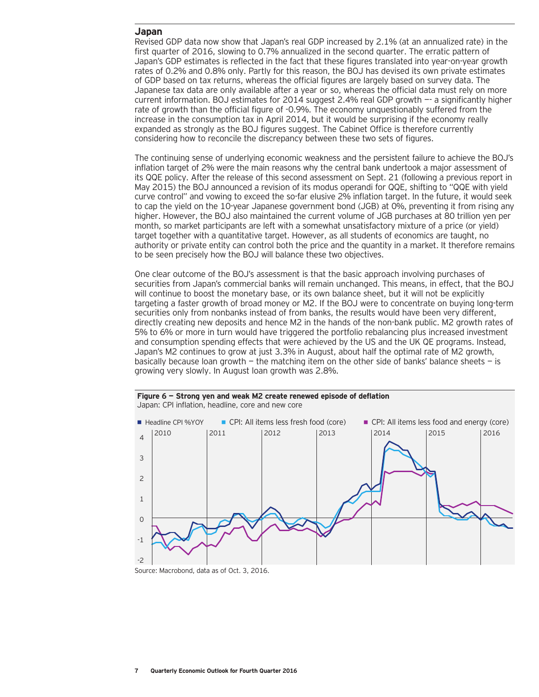### **Japan**

Revised GDP data now show that Japan's real GDP increased by 2.1% (at an annualized rate) in the first quarter of 2016, slowing to 0.7% annualized in the second quarter. The erratic pattern of Japan's GDP estimates is reflected in the fact that these figures translated into year-on-year growth rates of 0.2% and 0.8% only. Partly for this reason, the BOJ has devised its own private estimates of GDP based on tax returns, whereas the official figures are largely based on survey data. The Japanese tax data are only available after a year or so, whereas the official data must rely on more current information. BOJ estimates for 2014 suggest 2.4% real GDP growth —- a significantly higher rate of growth than the official figure of -0.9%. The economy unquestionably suffered from the increase in the consumption tax in April 2014, but it would be surprising if the economy really expanded as strongly as the BOJ figures suggest. The Cabinet Office is therefore currently considering how to reconcile the discrepancy between these two sets of figures.

The continuing sense of underlying economic weakness and the persistent failure to achieve the BOJ's inflation target of 2% were the main reasons why the central bank undertook a major assessment of its QQE policy. After the release of this second assessment on Sept. 21 (following a previous report in May 2015) the BOJ announced a revision of its modus operandi for QQE, shifting to "QQE with yield curve control" and vowing to exceed the so-far elusive 2% inflation target. In the future, it would seek to cap the yield on the 10-year Japanese government bond (JGB) at 0%, preventing it from rising any higher. However, the BOJ also maintained the current volume of JGB purchases at 80 trillion yen per month, so market participants are left with a somewhat unsatisfactory mixture of a price (or yield) target together with a quantitative target. However, as all students of economics are taught, no authority or private entity can control both the price and the quantity in a market. It therefore remains to be seen precisely how the BOJ will balance these two objectives.

One clear outcome of the BOJ's assessment is that the basic approach involving purchases of securities from Japan's commercial banks will remain unchanged. This means, in effect, that the BOJ will continue to boost the monetary base, or its own balance sheet, but it will not be explicitly targeting a faster growth of broad money or M2. If the BOJ were to concentrate on buying long-term securities only from nonbanks instead of from banks, the results would have been very different, directly creating new deposits and hence M2 in the hands of the non-bank public. M2 growth rates of 5% to 6% or more in turn would have triggered the portfolio rebalancing plus increased investment and consumption spending effects that were achieved by the US and the UK QE programs. Instead, Japan's M2 continues to grow at just 3.3% in August, about half the optimal rate of M2 growth, basically because loan growth  $-$  the matching item on the other side of banks' balance sheets  $-$  is growing very slowly. In August loan growth was 2.8%.

**Figure 6 — Strong yen and weak M2 create renewed episode of deflation**



Source: Macrobond, data as of Oct. 3, 2016.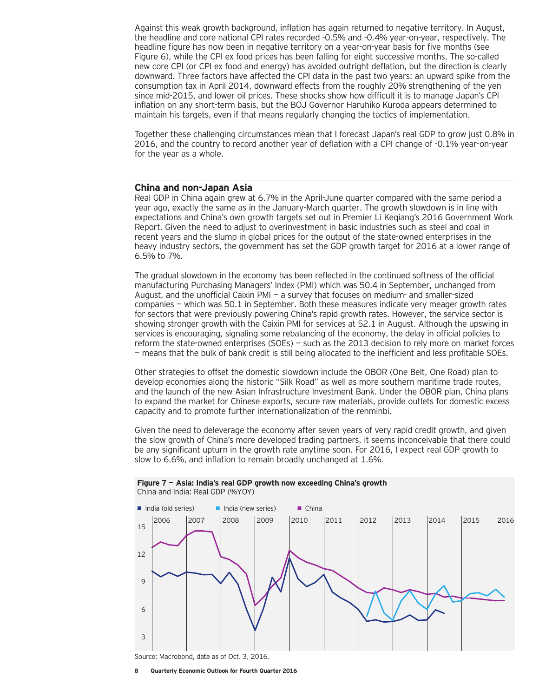Against this weak growth background, inflation has again returned to negative territory. In August, the headline and core national CPI rates recorded -0.5% and -0.4% year-on-year, respectively. The headline figure has now been in negative territory on a year-on-year basis for five months (see Figure 6), while the CPI ex food prices has been falling for eight successive months. The so-called new core CPI (or CPI ex food and energy) has avoided outright deflation, but the direction is clearly downward. Three factors have affected the CPI data in the past two years: an upward spike from the consumption tax in April 2014, downward effects from the roughly 20% strengthening of the yen since mid-2015, and lower oil prices. These shocks show how difficult it is to manage Japan's CPI inflation on any short-term basis, but the BOJ Governor Haruhiko Kuroda appears determined to maintain his targets, even if that means regularly changing the tactics of implementation.

Together these challenging circumstances mean that I forecast Japan's real GDP to grow just 0.8% in 2016, and the country to record another year of deflation with a CPI change of -0.1% year-on-year for the year as a whole.

#### **China and non-Japan Asia**

Real GDP in China again grew at 6.7% in the April-June quarter compared with the same period a year ago, exactly the same as in the January-March quarter. The growth slowdown is in line with expectations and China's own growth targets set out in Premier Li Keqiang's 2016 Government Work Report. Given the need to adjust to overinvestment in basic industries such as steel and coal in recent years and the slump in global prices for the output of the state-owned enterprises in the heavy industry sectors, the government has set the GDP growth target for 2016 at a lower range of 6.5% to 7%.

The gradual slowdown in the economy has been reflected in the continued softness of the official manufacturing Purchasing Managers' Index (PMI) which was 50.4 in September, unchanged from August, and the unofficial Caixin PMI — a survey that focuses on medium- and smaller-sized companies — which was 50.1 in September. Both these measures indicate very meager growth rates for sectors that were previously powering China's rapid growth rates. However, the service sector is showing stronger growth with the Caixin PMI for services at 52.1 in August. Although the upswing in services is encouraging, signaling some rebalancing of the economy, the delay in official policies to reform the state-owned enterprises (SOEs) — such as the 2013 decision to rely more on market forces — means that the bulk of bank credit is still being allocated to the inefficient and less profitable SOEs.

Other strategies to offset the domestic slowdown include the OBOR (One Belt, One Road) plan to develop economies along the historic "Silk Road" as well as more southern maritime trade routes, and the launch of the new Asian Infrastructure Investment Bank. Under the OBOR plan, China plans to expand the market for Chinese exports, secure raw materials, provide outlets for domestic excess capacity and to promote further internationalization of the renminbi.

Given the need to deleverage the economy after seven years of very rapid credit growth, and given the slow growth of China's more developed trading partners, it seems inconceivable that there could be any significant upturn in the growth rate anytime soon. For 2016, I expect real GDP growth to slow to 6.6%, and inflation to remain broadly unchanged at 1.6%.



**<sup>8</sup> Quarterly Economic Outlook for Fourth Quarter 2016**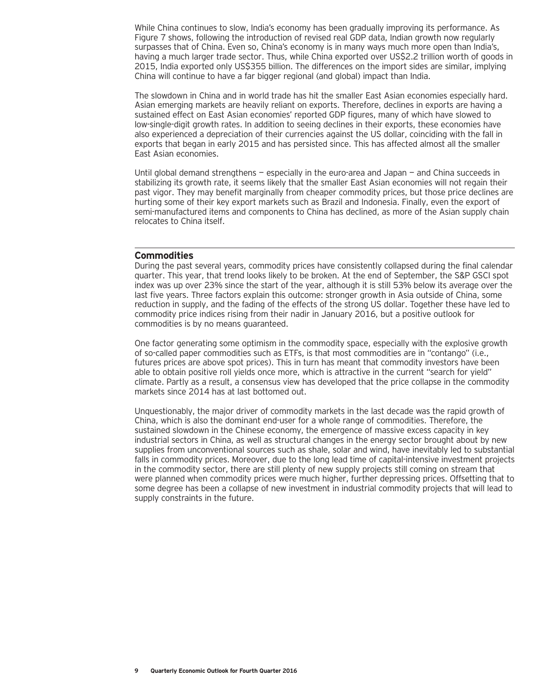While China continues to slow, India's economy has been gradually improving its performance. As Figure 7 shows, following the introduction of revised real GDP data, Indian growth now regularly surpasses that of China. Even so, China's economy is in many ways much more open than India's, having a much larger trade sector. Thus, while China exported over US\$2.2 trillion worth of goods in 2015, India exported only US\$355 billion. The differences on the import sides are similar, implying China will continue to have a far bigger regional (and global) impact than India.

The slowdown in China and in world trade has hit the smaller East Asian economies especially hard. Asian emerging markets are heavily reliant on exports. Therefore, declines in exports are having a sustained effect on East Asian economies' reported GDP figures, many of which have slowed to low-single-digit growth rates. In addition to seeing declines in their exports, these economies have also experienced a depreciation of their currencies against the US dollar, coinciding with the fall in exports that began in early 2015 and has persisted since. This has affected almost all the smaller East Asian economies.

Until global demand strengthens — especially in the euro-area and Japan — and China succeeds in stabilizing its growth rate, it seems likely that the smaller East Asian economies will not regain their past vigor. They may benefit marginally from cheaper commodity prices, but those price declines are hurting some of their key export markets such as Brazil and Indonesia. Finally, even the export of semi-manufactured items and components to China has declined, as more of the Asian supply chain relocates to China itself.

## **Commodities**

During the past several years, commodity prices have consistently collapsed during the final calendar quarter. This year, that trend looks likely to be broken. At the end of September, the S&P GSCI spot index was up over 23% since the start of the year, although it is still 53% below its average over the last five years. Three factors explain this outcome: stronger growth in Asia outside of China, some reduction in supply, and the fading of the effects of the strong US dollar. Together these have led to commodity price indices rising from their nadir in January 2016, but a positive outlook for commodities is by no means guaranteed.

One factor generating some optimism in the commodity space, especially with the explosive growth of so-called paper commodities such as ETFs, is that most commodities are in "contango" (i.e., futures prices are above spot prices). This in turn has meant that commodity investors have been able to obtain positive roll yields once more, which is attractive in the current "search for yield" climate. Partly as a result, a consensus view has developed that the price collapse in the commodity markets since 2014 has at last bottomed out.

Unquestionably, the major driver of commodity markets in the last decade was the rapid growth of China, which is also the dominant end-user for a whole range of commodities. Therefore, the sustained slowdown in the Chinese economy, the emergence of massive excess capacity in key industrial sectors in China, as well as structural changes in the energy sector brought about by new supplies from unconventional sources such as shale, solar and wind, have inevitably led to substantial falls in commodity prices. Moreover, due to the long lead time of capital-intensive investment projects in the commodity sector, there are still plenty of new supply projects still coming on stream that were planned when commodity prices were much higher, further depressing prices. Offsetting that to some degree has been a collapse of new investment in industrial commodity projects that will lead to supply constraints in the future.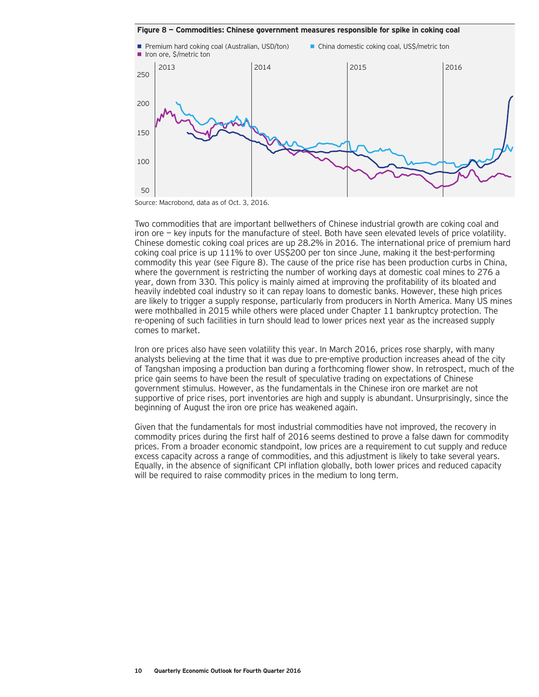**Figure 8 — Commodities: Chinese government measures responsible for spike in coking coal**



Source: Macrobond, data as of Oct. 3, 2016.

Two commodities that are important bellwethers of Chinese industrial growth are coking coal and iron ore — key inputs for the manufacture of steel. Both have seen elevated levels of price volatility. Chinese domestic coking coal prices are up 28.2% in 2016. The international price of premium hard coking coal price is up 111% to over US\$200 per ton since June, making it the best-performing commodity this year (see Figure 8). The cause of the price rise has been production curbs in China, where the government is restricting the number of working days at domestic coal mines to 276 a year, down from 330. This policy is mainly aimed at improving the profitability of its bloated and heavily indebted coal industry so it can repay loans to domestic banks. However, these high prices are likely to trigger a supply response, particularly from producers in North America. Many US mines were mothballed in 2015 while others were placed under Chapter 11 bankruptcy protection. The re-opening of such facilities in turn should lead to lower prices next year as the increased supply comes to market.

Iron ore prices also have seen volatility this year. In March 2016, prices rose sharply, with many analysts believing at the time that it was due to pre-emptive production increases ahead of the city of Tangshan imposing a production ban during a forthcoming flower show. In retrospect, much of the price gain seems to have been the result of speculative trading on expectations of Chinese government stimulus. However, as the fundamentals in the Chinese iron ore market are not supportive of price rises, port inventories are high and supply is abundant. Unsurprisingly, since the beginning of August the iron ore price has weakened again.

Given that the fundamentals for most industrial commodities have not improved, the recovery in commodity prices during the first half of 2016 seems destined to prove a false dawn for commodity prices. From a broader economic standpoint, low prices are a requirement to cut supply and reduce excess capacity across a range of commodities, and this adjustment is likely to take several years. Equally, in the absence of significant CPI inflation globally, both lower prices and reduced capacity will be required to raise commodity prices in the medium to long term.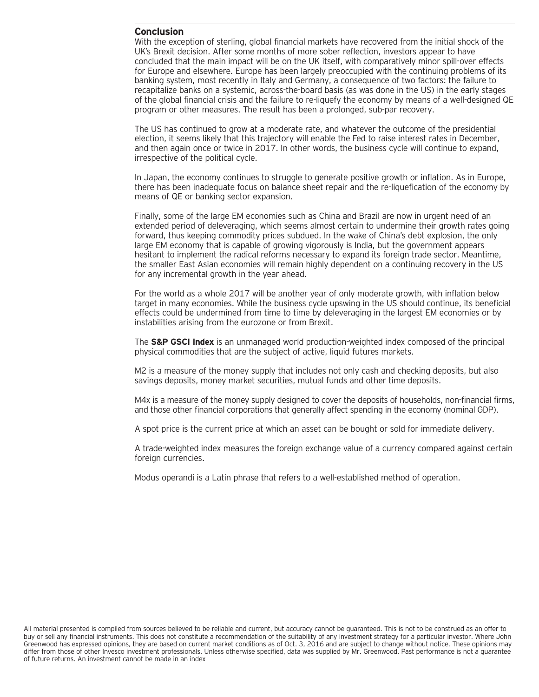## **Conclusion**

With the exception of sterling, global financial markets have recovered from the initial shock of the UK's Brexit decision. After some months of more sober reflection, investors appear to have concluded that the main impact will be on the UK itself, with comparatively minor spill-over effects for Europe and elsewhere. Europe has been largely preoccupied with the continuing problems of its banking system, most recently in Italy and Germany, a consequence of two factors: the failure to recapitalize banks on a systemic, across-the-board basis (as was done in the US) in the early stages of the global financial crisis and the failure to re-liquefy the economy by means of a well-designed QE program or other measures. The result has been a prolonged, sub-par recovery.

The US has continued to grow at a moderate rate, and whatever the outcome of the presidential election, it seems likely that this trajectory will enable the Fed to raise interest rates in December, and then again once or twice in 2017. In other words, the business cycle will continue to expand, irrespective of the political cycle.

In Japan, the economy continues to struggle to generate positive growth or inflation. As in Europe, there has been inadequate focus on balance sheet repair and the re-liquefication of the economy by means of QE or banking sector expansion.

Finally, some of the large EM economies such as China and Brazil are now in urgent need of an extended period of deleveraging, which seems almost certain to undermine their growth rates going forward, thus keeping commodity prices subdued. In the wake of China's debt explosion, the only large EM economy that is capable of growing vigorously is India, but the government appears hesitant to implement the radical reforms necessary to expand its foreign trade sector. Meantime, the smaller East Asian economies will remain highly dependent on a continuing recovery in the US for any incremental growth in the year ahead.

For the world as a whole 2017 will be another year of only moderate growth, with inflation below target in many economies. While the business cycle upswing in the US should continue, its beneficial effects could be undermined from time to time by deleveraging in the largest EM economies or by instabilities arising from the eurozone or from Brexit.

The **S&P GSCI Index** is an unmanaged world production-weighted index composed of the principal physical commodities that are the subject of active, liquid futures markets.

M2 is a measure of the money supply that includes not only cash and checking deposits, but also savings deposits, money market securities, mutual funds and other time deposits.

M4x is a measure of the money supply designed to cover the deposits of households, non-financial firms, and those other financial corporations that generally affect spending in the economy (nominal GDP).

A spot price is the current price at which an asset can be bought or sold for immediate delivery.

A trade-weighted index measures the foreign exchange value of a currency compared against certain foreign currencies.

Modus operandi is a Latin phrase that refers to a well-established method of operation.